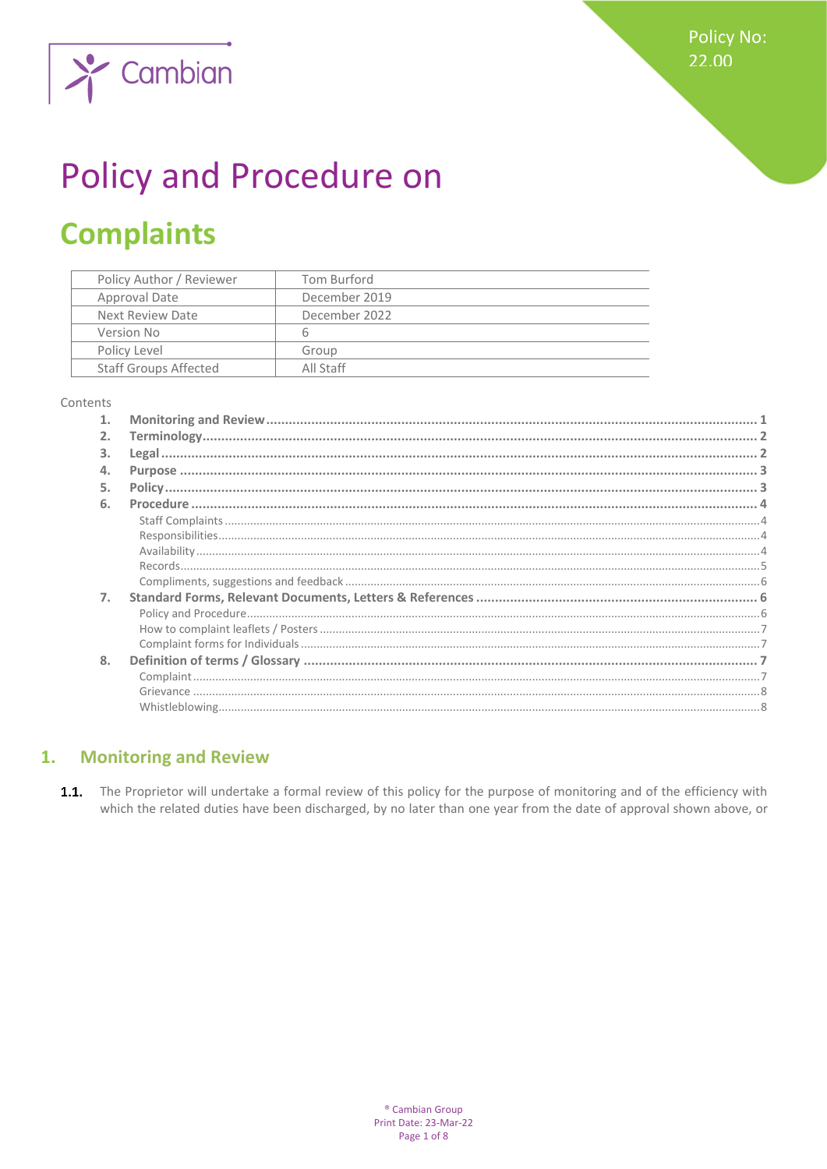**Policy No:** 22.00



# **Policy and Procedure on**

## **Complaints**

| Policy Author / Reviewer     | Tom Burford   |
|------------------------------|---------------|
| Approval Date                | December 2019 |
| Next Review Date             | December 2022 |
| Version No                   | 6             |
| Policy Level                 | Group         |
| <b>Staff Groups Affected</b> | All Staff     |

#### Contents

| 2. |  |
|----|--|
| 3. |  |
| 4. |  |
| 5. |  |
| 6. |  |
|    |  |
|    |  |
|    |  |
|    |  |
|    |  |
| 7. |  |
|    |  |
|    |  |
|    |  |
| 8. |  |
|    |  |
|    |  |
|    |  |

#### <span id="page-0-0"></span>**Monitoring and Review**  $1.$

 $1.1.$ The Proprietor will undertake a formal review of this policy for the purpose of monitoring and of the efficiency with which the related duties have been discharged, by no later than one year from the date of approval shown above, or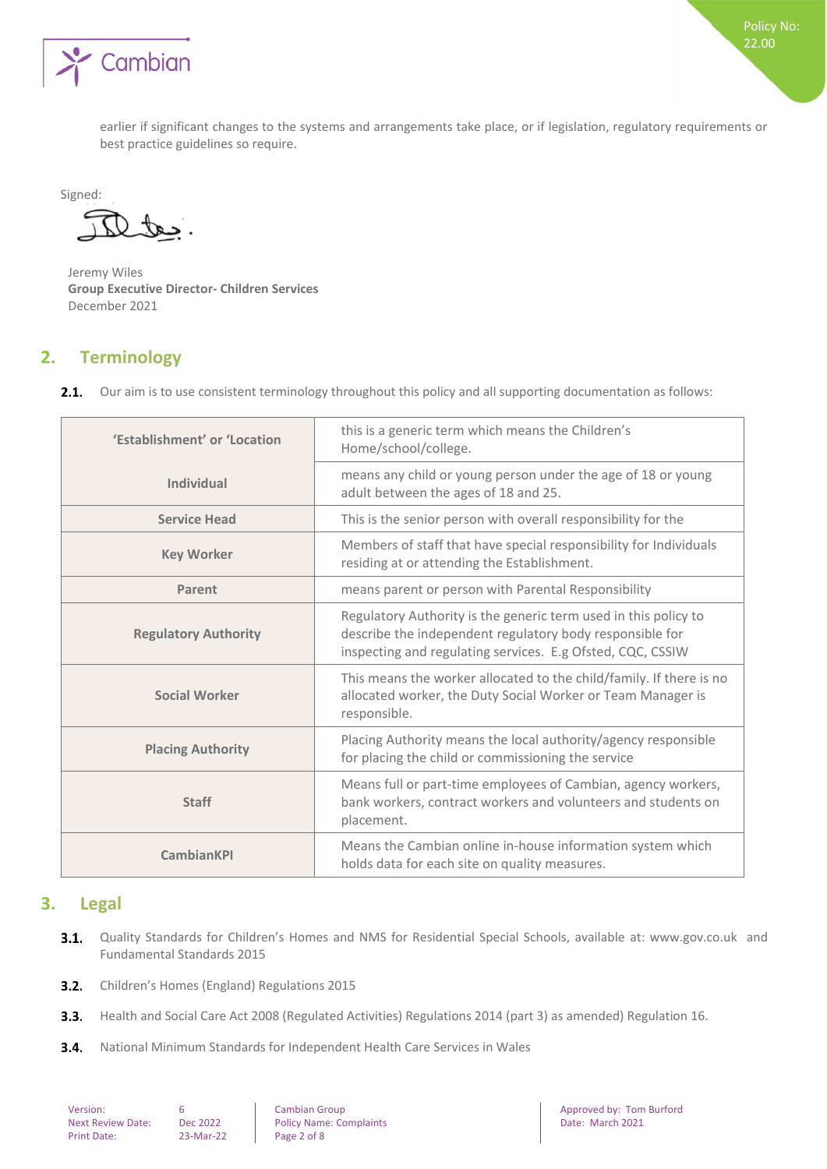

earlier if significant changes to the systems and arrangements take place, or if legislation, regulatory requirements or best practice guidelines so require.

Signed:

tas

Jeremy Wiles **Group Executive Director- Children Services**  December 2021

## <span id="page-1-0"></span>**2. Terminology**

 $2.1.$ Our aim is to use consistent terminology throughout this policy and all supporting documentation as follows:

| 'Establishment' or 'Location | this is a generic term which means the Children's<br>Home/school/college.                                                                                                                 |
|------------------------------|-------------------------------------------------------------------------------------------------------------------------------------------------------------------------------------------|
| Individual                   | means any child or young person under the age of 18 or young<br>adult between the ages of 18 and 25.                                                                                      |
| <b>Service Head</b>          | This is the senior person with overall responsibility for the                                                                                                                             |
| <b>Key Worker</b>            | Members of staff that have special responsibility for Individuals<br>residing at or attending the Establishment.                                                                          |
| Parent                       | means parent or person with Parental Responsibility                                                                                                                                       |
| <b>Regulatory Authority</b>  | Regulatory Authority is the generic term used in this policy to<br>describe the independent regulatory body responsible for<br>inspecting and regulating services. E.g Ofsted, CQC, CSSIW |
| <b>Social Worker</b>         | This means the worker allocated to the child/family. If there is no<br>allocated worker, the Duty Social Worker or Team Manager is<br>responsible.                                        |
| <b>Placing Authority</b>     | Placing Authority means the local authority/agency responsible<br>for placing the child or commissioning the service                                                                      |
| <b>Staff</b>                 | Means full or part-time employees of Cambian, agency workers,<br>bank workers, contract workers and volunteers and students on<br>placement.                                              |
| <b>CambianKPI</b>            | Means the Cambian online in-house information system which<br>holds data for each site on quality measures.                                                                               |

## <span id="page-1-1"></span>**3. Legal**

- $3.1.$ Quality Standards for Children's Homes and NMS for Residential Special Schools, available at: www.gov.co.uk and Fundamental Standards 2015
- $3.2.$ Children's Homes (England) Regulations 2015
- $3.3.$ Health and Social Care Act 2008 (Regulated Activities) Regulations 2014 (part 3) as amended) Regulation 16.
- $3.4.$ National Minimum Standards for Independent Health Care Services in Wales

| Version:                |
|-------------------------|
| <b>Next Review Date</b> |
| <b>Print Date:</b>      |

Policy Name: Complaints

Version: 6 Cambian Group Approved by: Tom Burford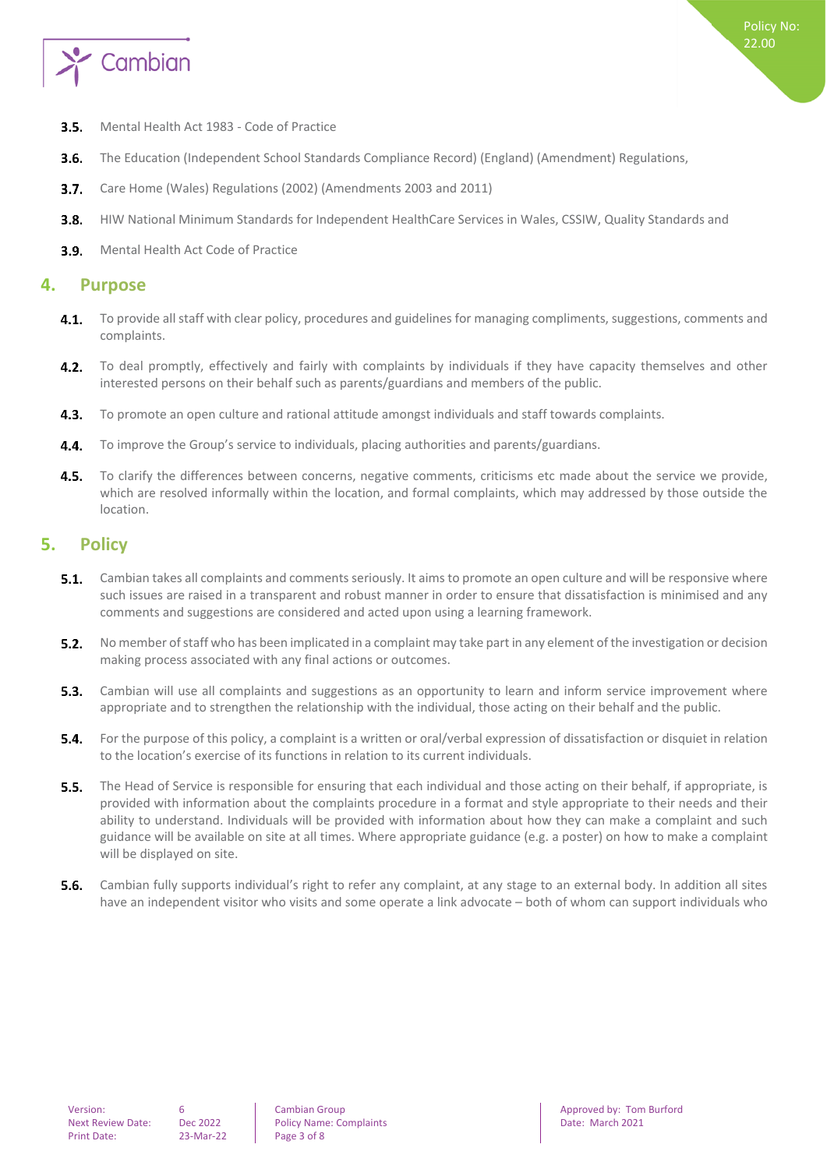

- $3.5.$ Mental Health Act 1983 - Code of Practice
- The Education (Independent School Standards Compliance Record) (England) (Amendment) Regulations,  $3.6.$
- $3.7.$ Care Home (Wales) Regulations (2002) (Amendments 2003 and 2011)
- $3.8.$ HIW National Minimum Standards for Independent HealthCare Services in Wales, CSSIW, Quality Standards and
- <span id="page-2-0"></span>**3.9.** Mental Health Act Code of Practice

## **4. Purpose**

- To provide all staff with clear policy, procedures and guidelines for managing compliments, suggestions, comments and  $4.1.$ complaints.
- $4.2.$ To deal promptly, effectively and fairly with complaints by individuals if they have capacity themselves and other interested persons on their behalf such as parents/guardians and members of the public.
- $4.3.$ To promote an open culture and rational attitude amongst individuals and staff towards complaints.
- $4.4.$ To improve the Group's service to individuals, placing authorities and parents/guardians.
- To clarify the differences between concerns, negative comments, criticisms etc made about the service we provide,  $4.5.$ which are resolved informally within the location, and formal complaints, which may addressed by those outside the location.

## <span id="page-2-1"></span>**5. Policy**

- $5.1.$ Cambian takes all complaints and comments seriously. It aims to promote an open culture and will be responsive where such issues are raised in a transparent and robust manner in order to ensure that dissatisfaction is minimised and any comments and suggestions are considered and acted upon using a learning framework.
- $5.2.$ No member of staff who has been implicated in a complaint may take part in any element of the investigation or decision making process associated with any final actions or outcomes.
- 5.3. Cambian will use all complaints and suggestions as an opportunity to learn and inform service improvement where appropriate and to strengthen the relationship with the individual, those acting on their behalf and the public.
- $5.4.$ For the purpose of this policy, a complaint is a written or oral/verbal expression of dissatisfaction or disquiet in relation to the location's exercise of its functions in relation to its current individuals.
- **5.5.** The Head of Service is responsible for ensuring that each individual and those acting on their behalf, if appropriate, is provided with information about the complaints procedure in a format and style appropriate to their needs and their ability to understand. Individuals will be provided with information about how they can make a complaint and such guidance will be available on site at all times. Where appropriate guidance (e.g. a poster) on how to make a complaint will be displayed on site.
- $5.6.$ Cambian fully supports individual's right to refer any complaint, at any stage to an external body. In addition all sites have an independent visitor who visits and some operate a link advocate – both of whom can support individuals who

Next Review Date: Dec 2022 Policy Name: Complaints Date: March 2021

Version: 6 Cambian Group Approved by: Tom Burford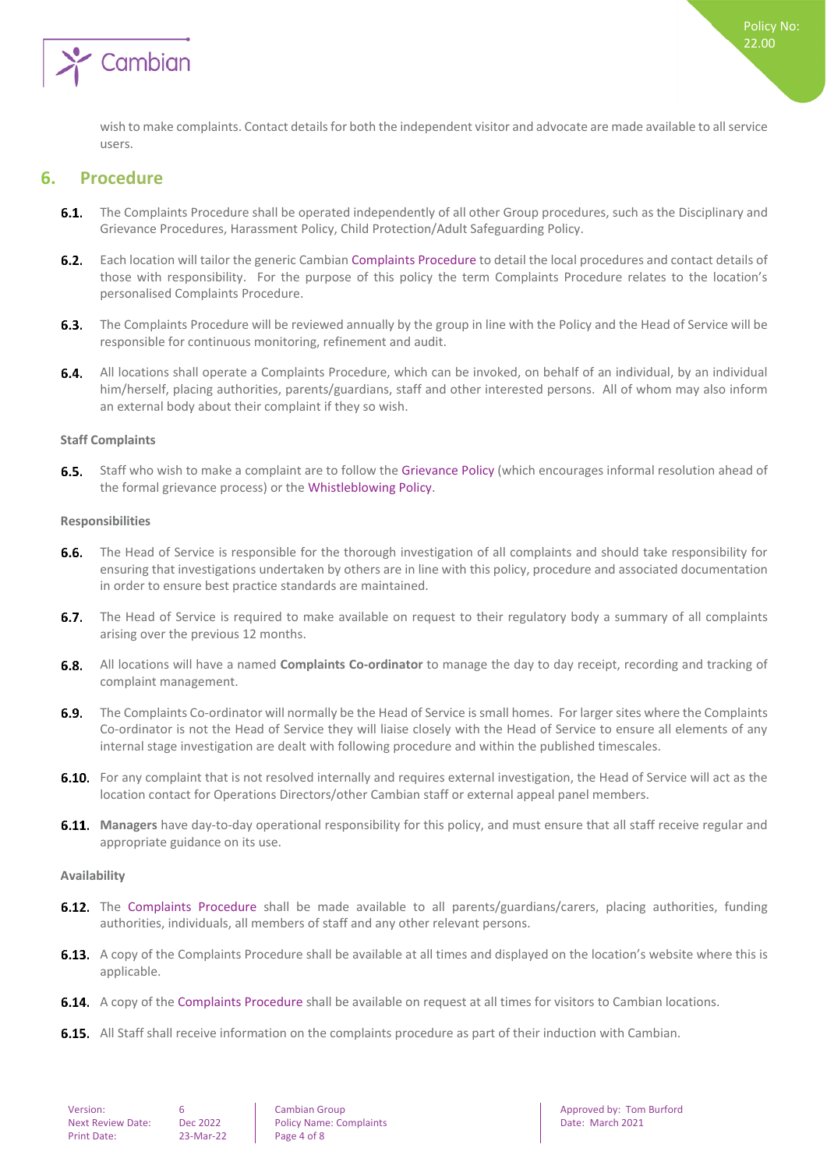

wish to make complaints. Contact details for both the independent visitor and advocate are made available to all service users.

## <span id="page-3-0"></span>**6. Procedure**

- **6.1.** The Complaints Procedure shall be operated independently of all other Group procedures, such as the Disciplinary and Grievance Procedures, Harassment Policy, Child Protection/Adult Safeguarding Policy.
- $6.2.$ Each location will tailor the generic Cambian Complaints Procedure to detail the local procedures and contact details of those with responsibility. For the purpose of this policy the term Complaints Procedure relates to the location's personalised Complaints Procedure.
- $6.3.$ The Complaints Procedure will be reviewed annually by the group in line with the Policy and the Head of Service will be responsible for continuous monitoring, refinement and audit.
- 6.4. All locations shall operate a Complaints Procedure, which can be invoked, on behalf of an individual, by an individual him/herself, placing authorities, parents/guardians, staff and other interested persons. All of whom may also inform an external body about their complaint if they so wish.

#### <span id="page-3-1"></span>**Staff Complaints**

 $6.5.$ Staff who wish to make a complaint are to follow the Grievance Policy (which encourages informal resolution ahead of the formal grievance process) or the Whistleblowing Policy.

#### <span id="page-3-2"></span>**Responsibilities**

- $6.6.$ The Head of Service is responsible for the thorough investigation of all complaints and should take responsibility for ensuring that investigations undertaken by others are in line with this policy, procedure and associated documentation in order to ensure best practice standards are maintained.
- 6.7. The Head of Service is required to make available on request to their regulatory body a summary of all complaints arising over the previous 12 months.
- All locations will have a named **Complaints Co-ordinator** to manage the day to day receipt, recording and tracking of complaint management.
- $6.9.$ The Complaints Co-ordinator will normally be the Head of Service is small homes. For larger sites where the Complaints Co-ordinator is not the Head of Service they will liaise closely with the Head of Service to ensure all elements of any internal stage investigation are dealt with following procedure and within the published timescales.
- 6.10. For any complaint that is not resolved internally and requires external investigation, the Head of Service will act as the location contact for Operations Directors/other Cambian staff or external appeal panel members.
- **Managers** have day-to-day operational responsibility for this policy, and must ensure that all staff receive regular and appropriate guidance on its use.

#### <span id="page-3-3"></span>**Availability**

- **6.12.** The Complaints Procedure shall be made available to all parents/guardians/carers, placing authorities, funding authorities, individuals, all members of staff and any other relevant persons.
- **6.13.** A copy of the Complaints Procedure shall be available at all times and displayed on the location's website where this is applicable.
- **6.14.** A copy of the Complaints Procedure shall be available on request at all times for visitors to Cambian locations.
- **6.15.** All Staff shall receive information on the complaints procedure as part of their induction with Cambian.

Next Review Date: Dec 2022 Policy Name: Complaints Date: March 2021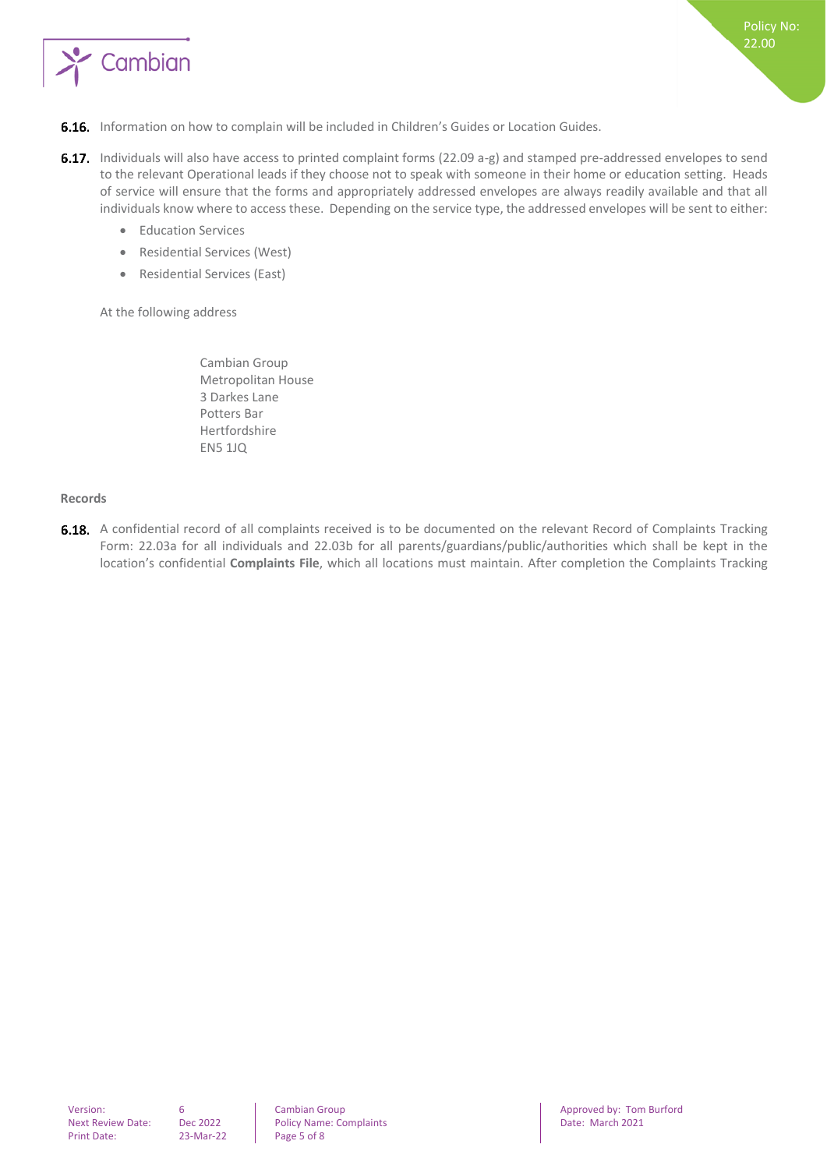

- **6.16.** Information on how to complain will be included in Children's Guides or Location Guides.
- 6.17. Individuals will also have access to printed complaint forms (22.09 a-g) and stamped pre-addressed envelopes to send to the relevant Operational leads if they choose not to speak with someone in their home or education setting. Heads of service will ensure that the forms and appropriately addressed envelopes are always readily available and that all individuals know where to access these. Depending on the service type, the addressed envelopes will be sent to either:
	- Education Services
	- Residential Services (West)
	- Residential Services (East)

At the following address

Cambian Group Metropolitan House 3 Darkes Lane Potters Bar Hertfordshire EN5 1JQ

#### <span id="page-4-0"></span>**Records**

**6.18.** A confidential record of all complaints received is to be documented on the relevant Record of Complaints Tracking Form: 22.03a for all individuals and 22.03b for all parents/guardians/public/authorities which shall be kept in the location's confidential **Complaints File**, which all locations must maintain. After completion the Complaints Tracking

Next Review Date: Dec 2022 Policy Name: Complaints Date: March 2021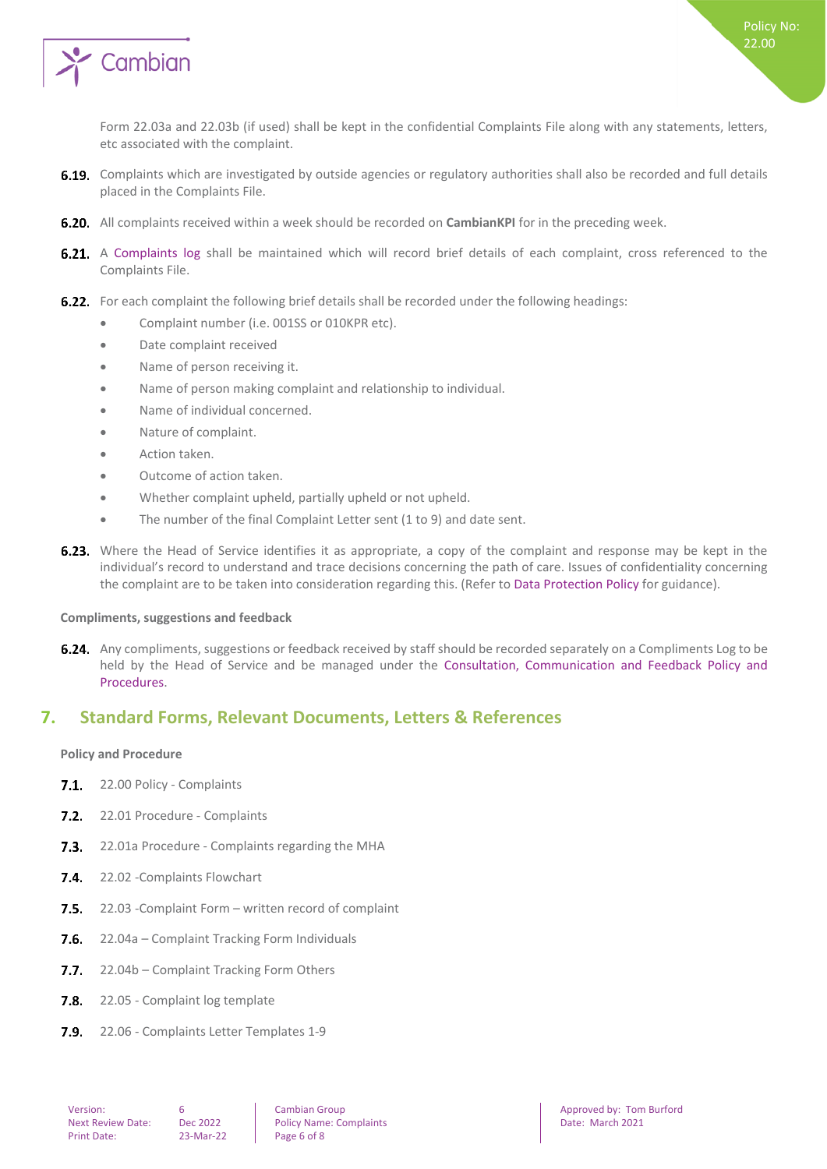

Form 22.03a and 22.03b (if used) shall be kept in the confidential Complaints File along with any statements, letters, etc associated with the complaint.

- 6.19. Complaints which are investigated by outside agencies or regulatory authorities shall also be recorded and full details placed in the Complaints File.
- **6.20.** All complaints received within a week should be recorded on **CambianKPI** for in the preceding week.
- 6.21. A Complaints log shall be maintained which will record brief details of each complaint, cross referenced to the Complaints File.
- 6.22. For each complaint the following brief details shall be recorded under the following headings:
	- Complaint number (i.e. 001SS or 010KPR etc).
	- Date complaint received
	- Name of person receiving it.
	- Name of person making complaint and relationship to individual.
	- Name of individual concerned.
	- Nature of complaint.
	- Action taken.
	- Outcome of action taken.
	- Whether complaint upheld, partially upheld or not upheld.
	- The number of the final Complaint Letter sent (1 to 9) and date sent.
- **6.23.** Where the Head of Service identifies it as appropriate, a copy of the complaint and response may be kept in the individual's record to understand and trace decisions concerning the path of care. Issues of confidentiality concerning the complaint are to be taken into consideration regarding this. (Refer to Data Protection Policy for guidance).

#### <span id="page-5-0"></span>**Compliments, suggestions and feedback**

**6.24.** Any compliments, suggestions or feedback received by staff should be recorded separately on a Compliments Log to be held by the Head of Service and be managed under the Consultation, Communication and Feedback Policy and Procedures.

## <span id="page-5-1"></span>**7. Standard Forms, Relevant Documents, Letters & References**

#### <span id="page-5-2"></span>**Policy and Procedure**

- 7.1. 22.00 Policy Complaints
- 7.2. 22.01 Procedure Complaints
- $7.3.$ 22.01a Procedure - Complaints regarding the MHA
- 7.4. 22.02 Complaints Flowchart
- $7.5.$ 22.03 -Complaint Form – written record of complaint
- $7.6.$ 22.04a – Complaint Tracking Form Individuals
- $7.7.$ 22.04b – Complaint Tracking Form Others
- $7.8.$ 22.05 - Complaint log template
- 7.9. 22.06 Complaints Letter Templates 1-9

Next Review Date: Dec 2022 Policy Name: Complaints Date: March 2021

Version: 6 Cambian Group Approved by: Tom Burford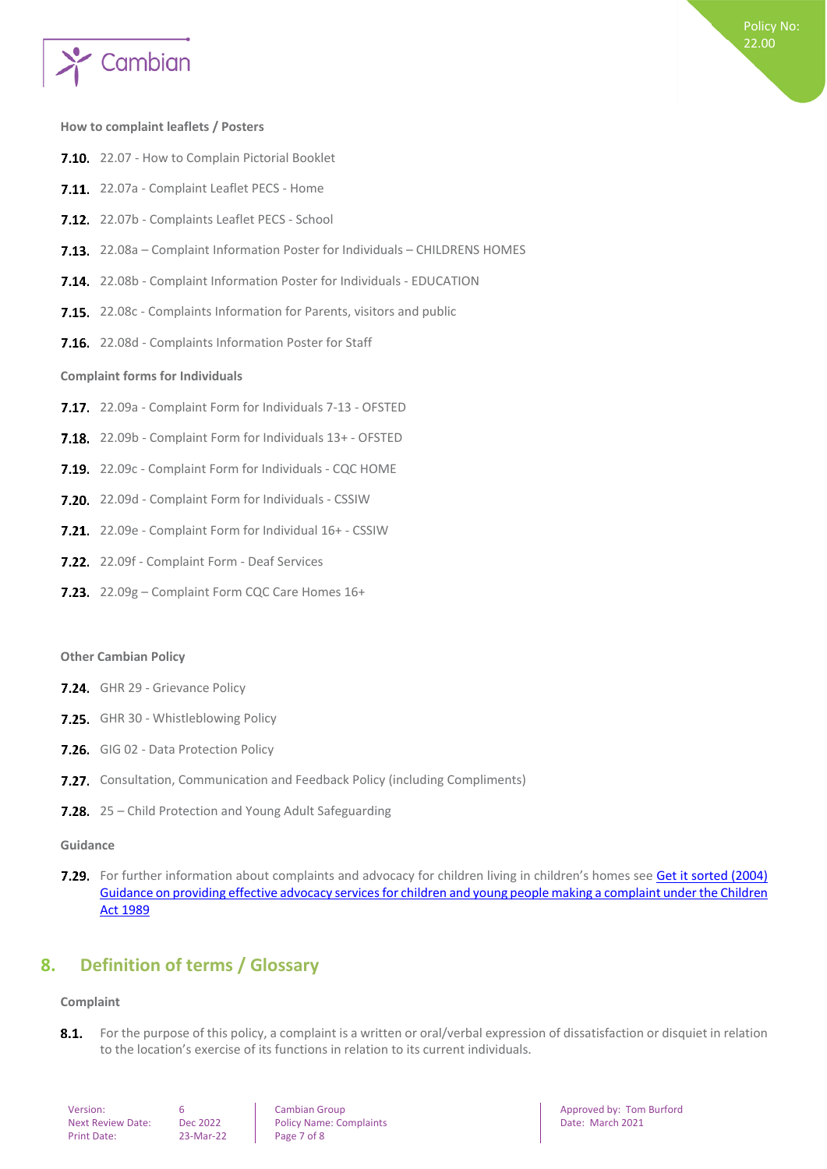

#### <span id="page-6-0"></span>**How to complaint leaflets / Posters**

- 7.10. 22.07 How to Complain Pictorial Booklet
- 7.11. 22.07a Complaint Leaflet PECS Home
- 7.12. 22.07b Complaints Leaflet PECS School
- 7.13. 22.08a Complaint Information Poster for Individuals CHILDRENS HOMES
- 22.08b Complaint Information Poster for Individuals EDUCATION
- 7.15. 22.08c Complaints Information for Parents, visitors and public
- <span id="page-6-1"></span>7.16. 22.08d - Complaints Information Poster for Staff

#### **Complaint forms for Individuals**

- 7.17. 22.09a Complaint Form for Individuals 7-13 OFSTED
- 7.18. 22.09b Complaint Form for Individuals 13+ OFSTED
- 7.19 22.09c Complaint Form for Individuals CQC HOME
- **7.20.** 22.09d Complaint Form for Individuals CSSIW
- 7.21. 22.09e Complaint Form for Individual 16+ CSSIW
- 7.22. 22.09f Complaint Form Deaf Services
- 7.23. 22.09g Complaint Form CQC Care Homes 16+

#### **Other Cambian Policy**

- 7.24. GHR 29 Grievance Policy
- 7.25. GHR 30 Whistleblowing Policy
- 7.26. GIG 02 Data Protection Policy
- **7.27.** Consultation, Communication and Feedback Policy (including Compliments)
- 7.28. 25 Child Protection and Young Adult Safeguarding

#### **Guidance**

7.29. For further information about complaints and advocacy for children living in children's homes see Get it sorted (2004) [Guidance on providing effective advocacy services for children and young people making a complaint under the Children](https://www.gov.uk/government/publications/advocacy-services-for-children-and-young-people)  [Act 1989](https://www.gov.uk/government/publications/advocacy-services-for-children-and-young-people)

## <span id="page-6-2"></span>**8. Definition of terms / Glossary**

#### <span id="page-6-3"></span>**Complaint**

 $8.1.$ For the purpose of this policy, a complaint is a written or oral/verbal expression of dissatisfaction or disquiet in relation to the location's exercise of its functions in relation to its current individuals.

| Version:                 |  |
|--------------------------|--|
| <b>Next Review Date:</b> |  |
| <b>Print Date:</b>       |  |

23-Mar-22 | Page 7 of 8

Policy Name: Complaints **Next Access Policy Name: Complaints** Date: March 2021

6 Cambian Group Complaints Complaints Complaints Complaints Complaints Complaints Complaints Complaints Complaints Complaints Complaints Complaints Complaints Complaints Complaints Complaints Complaints Complaints Complain